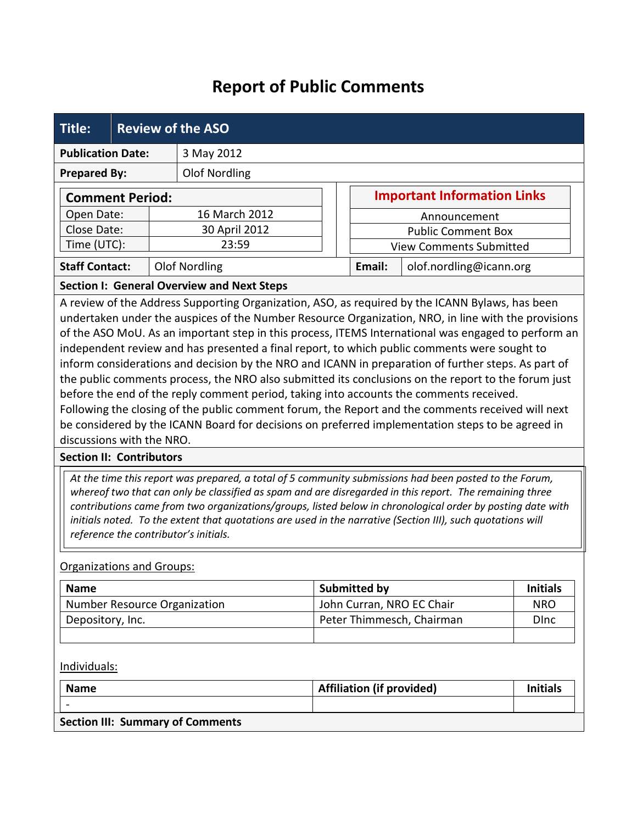## **Report of Public Comments**

| <b>Title:</b>                                                                                                                                                                                                                                                                                                                                                                                                                                                                                                                                                                                                                                                                                                                                                                                                                                                                                                                                                | <b>Review of the ASO</b> |                      |  |                     |                                    |                 |  |  |
|--------------------------------------------------------------------------------------------------------------------------------------------------------------------------------------------------------------------------------------------------------------------------------------------------------------------------------------------------------------------------------------------------------------------------------------------------------------------------------------------------------------------------------------------------------------------------------------------------------------------------------------------------------------------------------------------------------------------------------------------------------------------------------------------------------------------------------------------------------------------------------------------------------------------------------------------------------------|--------------------------|----------------------|--|---------------------|------------------------------------|-----------------|--|--|
| <b>Publication Date:</b><br>3 May 2012                                                                                                                                                                                                                                                                                                                                                                                                                                                                                                                                                                                                                                                                                                                                                                                                                                                                                                                       |                          |                      |  |                     |                                    |                 |  |  |
| <b>Prepared By:</b>                                                                                                                                                                                                                                                                                                                                                                                                                                                                                                                                                                                                                                                                                                                                                                                                                                                                                                                                          |                          | <b>Olof Nordling</b> |  |                     |                                    |                 |  |  |
| <b>Comment Period:</b>                                                                                                                                                                                                                                                                                                                                                                                                                                                                                                                                                                                                                                                                                                                                                                                                                                                                                                                                       |                          |                      |  |                     | <b>Important Information Links</b> |                 |  |  |
| Open Date:                                                                                                                                                                                                                                                                                                                                                                                                                                                                                                                                                                                                                                                                                                                                                                                                                                                                                                                                                   |                          | 16 March 2012        |  |                     | Announcement                       |                 |  |  |
| Close Date:                                                                                                                                                                                                                                                                                                                                                                                                                                                                                                                                                                                                                                                                                                                                                                                                                                                                                                                                                  |                          | 30 April 2012        |  |                     | <b>Public Comment Box</b>          |                 |  |  |
| Time (UTC):                                                                                                                                                                                                                                                                                                                                                                                                                                                                                                                                                                                                                                                                                                                                                                                                                                                                                                                                                  |                          | 23:59                |  |                     | <b>View Comments Submitted</b>     |                 |  |  |
| <b>Staff Contact:</b>                                                                                                                                                                                                                                                                                                                                                                                                                                                                                                                                                                                                                                                                                                                                                                                                                                                                                                                                        |                          | <b>Olof Nordling</b> |  | Email:              | olof.nordling@icann.org            |                 |  |  |
| <b>Section I: General Overview and Next Steps</b>                                                                                                                                                                                                                                                                                                                                                                                                                                                                                                                                                                                                                                                                                                                                                                                                                                                                                                            |                          |                      |  |                     |                                    |                 |  |  |
| A review of the Address Supporting Organization, ASO, as required by the ICANN Bylaws, has been<br>undertaken under the auspices of the Number Resource Organization, NRO, in line with the provisions<br>of the ASO MoU. As an important step in this process, ITEMS International was engaged to perform an<br>independent review and has presented a final report, to which public comments were sought to<br>inform considerations and decision by the NRO and ICANN in preparation of further steps. As part of<br>the public comments process, the NRO also submitted its conclusions on the report to the forum just<br>before the end of the reply comment period, taking into accounts the comments received.<br>Following the closing of the public comment forum, the Report and the comments received will next<br>be considered by the ICANN Board for decisions on preferred implementation steps to be agreed in<br>discussions with the NRO. |                          |                      |  |                     |                                    |                 |  |  |
| <b>Section II: Contributors</b>                                                                                                                                                                                                                                                                                                                                                                                                                                                                                                                                                                                                                                                                                                                                                                                                                                                                                                                              |                          |                      |  |                     |                                    |                 |  |  |
| At the time this report was prepared, a total of 5 community submissions had been posted to the Forum,<br>whereof two that can only be classified as spam and are disregarded in this report. The remaining three<br>contributions came from two organizations/groups, listed below in chronological order by posting date with<br>initials noted. To the extent that quotations are used in the narrative (Section III), such quotations will<br>reference the contributor's initials.                                                                                                                                                                                                                                                                                                                                                                                                                                                                      |                          |                      |  |                     |                                    |                 |  |  |
| <b>Organizations and Groups:</b>                                                                                                                                                                                                                                                                                                                                                                                                                                                                                                                                                                                                                                                                                                                                                                                                                                                                                                                             |                          |                      |  |                     |                                    |                 |  |  |
| <b>Name</b>                                                                                                                                                                                                                                                                                                                                                                                                                                                                                                                                                                                                                                                                                                                                                                                                                                                                                                                                                  |                          |                      |  | <b>Submitted by</b> |                                    | <b>Initials</b> |  |  |
| Number Resource Organization                                                                                                                                                                                                                                                                                                                                                                                                                                                                                                                                                                                                                                                                                                                                                                                                                                                                                                                                 |                          |                      |  |                     | John Curran, NRO EC Chair          | <b>NRO</b>      |  |  |
| Depository, Inc.                                                                                                                                                                                                                                                                                                                                                                                                                                                                                                                                                                                                                                                                                                                                                                                                                                                                                                                                             |                          |                      |  |                     | Peter Thimmesch, Chairman          | <b>D</b> Inc    |  |  |

Individuals:

| <b>Name</b>                             | <b>Affiliation (if provided)</b> | <b>Initials</b> |
|-----------------------------------------|----------------------------------|-----------------|
| $\overline{\phantom{0}}$                |                                  |                 |
| <b>Section III: Summary of Comments</b> |                                  |                 |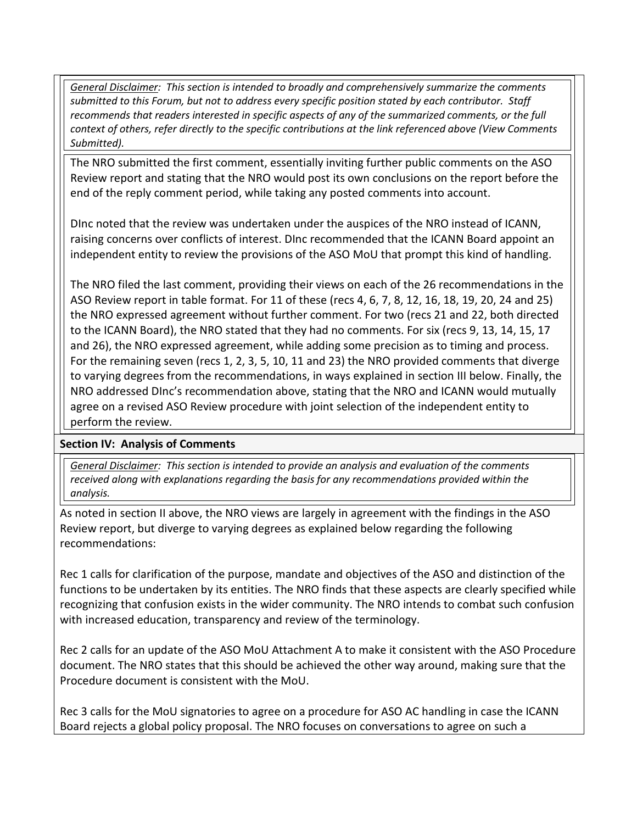*General Disclaimer: This section is intended to broadly and comprehensively summarize the comments submitted to this Forum, but not to address every specific position stated by each contributor. Staff recommends that readers interested in specific aspects of any of the summarized comments, or the full context of others, refer directly to the specific contributions at the link referenced above (View Comments Submitted).* 

The NRO submitted the first comment, essentially inviting further public comments on the ASO Review report and stating that the NRO would post its own conclusions on the report before the end of the reply comment period, while taking any posted comments into account.

DInc noted that the review was undertaken under the auspices of the NRO instead of ICANN, raising concerns over conflicts of interest. DInc recommended that the ICANN Board appoint an independent entity to review the provisions of the ASO MoU that prompt this kind of handling.

The NRO filed the last comment, providing their views on each of the 26 recommendations in the ASO Review report in table format. For 11 of these (recs 4, 6, 7, 8, 12, 16, 18, 19, 20, 24 and 25) the NRO expressed agreement without further comment. For two (recs 21 and 22, both directed to the ICANN Board), the NRO stated that they had no comments. For six (recs 9, 13, 14, 15, 17 and 26), the NRO expressed agreement, while adding some precision as to timing and process. For the remaining seven (recs 1, 2, 3, 5, 10, 11 and 23) the NRO provided comments that diverge to varying degrees from the recommendations, in ways explained in section III below. Finally, the NRO addressed DInc's recommendation above, stating that the NRO and ICANN would mutually agree on a revised ASO Review procedure with joint selection of the independent entity to perform the review.

## **Section IV: Analysis of Comments**

*General Disclaimer: This section is intended to provide an analysis and evaluation of the comments received along with explanations regarding the basis for any recommendations provided within the analysis.*

As noted in section II above, the NRO views are largely in agreement with the findings in the ASO Review report, but diverge to varying degrees as explained below regarding the following recommendations:

Rec 1 calls for clarification of the purpose, mandate and objectives of the ASO and distinction of the functions to be undertaken by its entities. The NRO finds that these aspects are clearly specified while recognizing that confusion exists in the wider community. The NRO intends to combat such confusion with increased education, transparency and review of the terminology.

Rec 2 calls for an update of the ASO MoU Attachment A to make it consistent with the ASO Procedure document. The NRO states that this should be achieved the other way around, making sure that the Procedure document is consistent with the MoU.

Rec 3 calls for the MoU signatories to agree on a procedure for ASO AC handling in case the ICANN Board rejects a global policy proposal. The NRO focuses on conversations to agree on such a